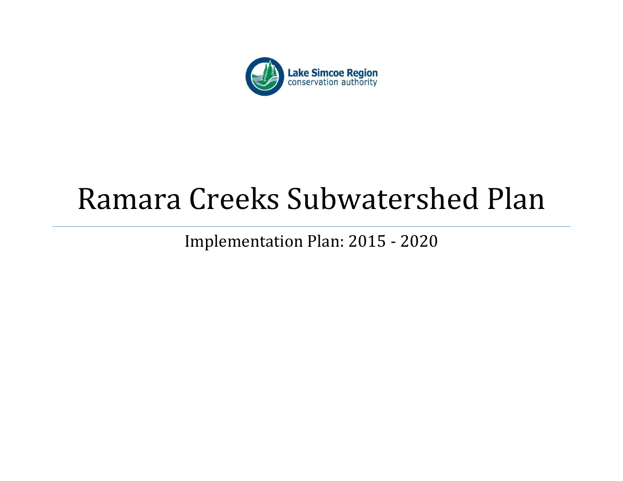

# Ramara Creeks Subwatershed Plan

Implementation Plan: 2015 - 2020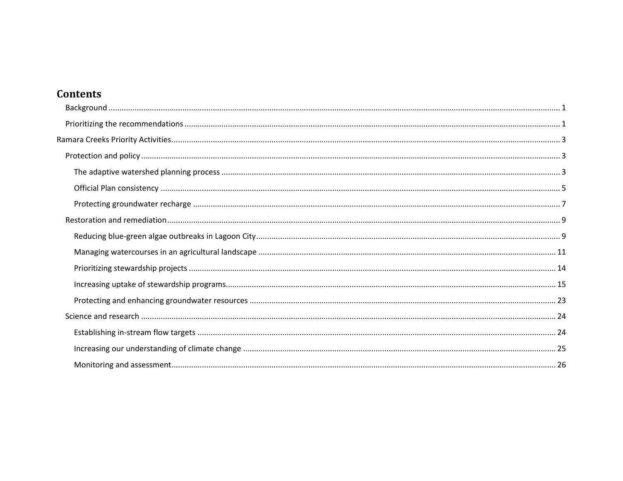# **Contents**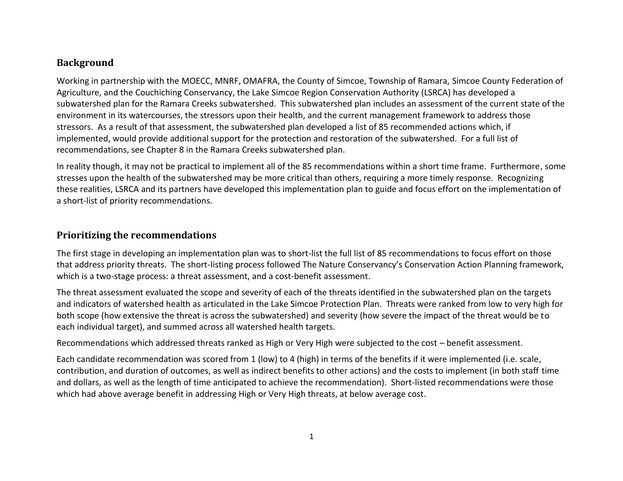# <span id="page-2-0"></span>**Background**

Working in partnership with the MOECC, MNRF, OMAFRA, the County of Simcoe, Township of Ramara, Simcoe County Federation of Agriculture, and the Couchiching Conservancy, the Lake Simcoe Region Conservation Authority (LSRCA) has developed a subwatershed plan for the Ramara Creeks subwatershed. This subwatershed plan includes an assessment of the current state of the environment in its watercourses, the stressors upon their health, and the current management framework to address those stressors. As a result of that assessment, the subwatershed plan developed a list of 85 recommended actions which, if implemented, would provide additional support for the protection and restoration of the subwatershed. For a full list of recommendations, see Chapter 8 in the Ramara Creeks subwatershed plan.

In reality though, it may not be practical to implement all of the 85 recommendations within a short time frame. Furthermore, some stresses upon the health of the subwatershed may be more critical than others, requiring a more timely response. Recognizing these realities, LSRCA and its partners have developed this implementation plan to guide and focus effort on the implementation of a short-list of priority recommendations.

# <span id="page-2-1"></span>**Prioritizing the recommendations**

The first stage in developing an implementation plan was to short-list the full list of 85 recommendations to focus effort on those that address priority threats. The short-listing process followed The Nature Conservancy's Conservation Action Planning framework, which is a two-stage process: a threat assessment, and a cost-benefit assessment.

The threat assessment evaluated the scope and severity of each of the threats identified in the subwatershed plan on the targets and indicators of watershed health as articulated in the Lake Simcoe Protection Plan. Threats were ranked from low to very high for both scope (how extensive the threat is across the subwatershed) and severity (how severe the impact of the threat would be to each individual target), and summed across all watershed health targets.

Recommendations which addressed threats ranked as High or Very High were subjected to the cost – benefit assessment.

Each candidate recommendation was scored from 1 (low) to 4 (high) in terms of the benefits if it were implemented (i.e. scale, contribution, and duration of outcomes, as well as indirect benefits to other actions) and the costs to implement (in both staff time and dollars, as well as the length of time anticipated to achieve the recommendation). Short-listed recommendations were those which had above average benefit in addressing High or Very High threats, at below average cost.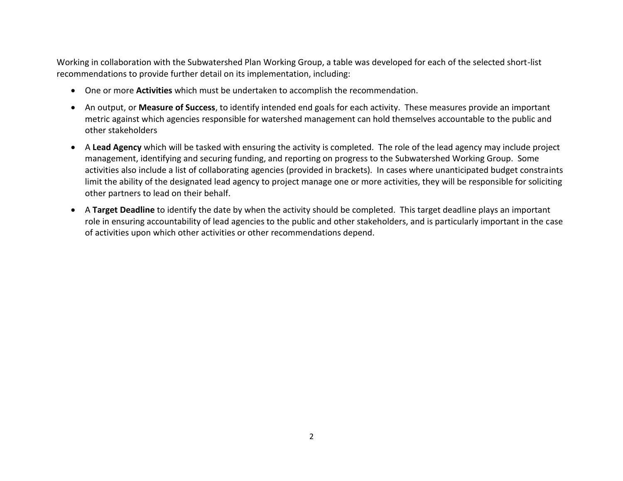Working in collaboration with the Subwatershed Plan Working Group, a table was developed for each of the selected short-list recommendations to provide further detail on its implementation, including:

- One or more **Activities** which must be undertaken to accomplish the recommendation.
- An output, or **Measure of Success**, to identify intended end goals for each activity. These measures provide an important metric against which agencies responsible for watershed management can hold themselves accountable to the public and other stakeholders
- A **Lead Agency** which will be tasked with ensuring the activity is completed. The role of the lead agency may include project management, identifying and securing funding, and reporting on progress to the Subwatershed Working Group. Some activities also include a list of collaborating agencies (provided in brackets). In cases where unanticipated budget constraints limit the ability of the designated lead agency to project manage one or more activities, they will be responsible for soliciting other partners to lead on their behalf.
- A **Target Deadline** to identify the date by when the activity should be completed. This target deadline plays an important role in ensuring accountability of lead agencies to the public and other stakeholders, and is particularly important in the case of activities upon which other activities or other recommendations depend.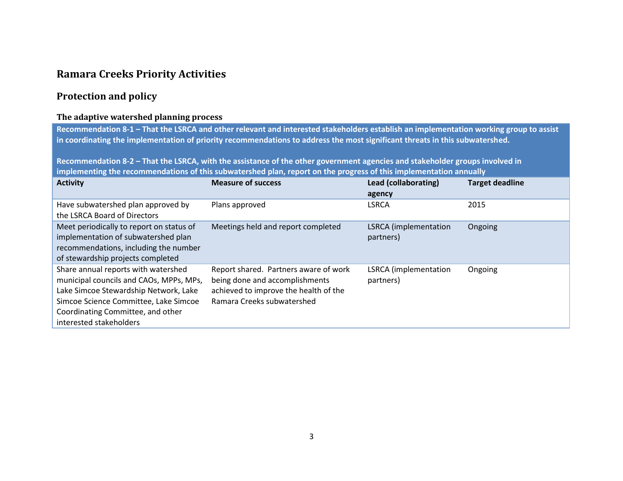# <span id="page-4-0"></span>**Ramara Creeks Priority Activities**

# <span id="page-4-1"></span>**Protection and policy**

#### <span id="page-4-2"></span>**The adaptive watershed planning process**

**Recommendation 8-1 – That the LSRCA and other relevant and interested stakeholders establish an implementation working group to assist in coordinating the implementation of priority recommendations to address the most significant threats in this subwatershed.** 

**Recommendation 8-2 – That the LSRCA, with the assistance of the other government agencies and stakeholder groups involved in implementing the recommendations of this subwatershed plan, report on the progress of this implementation annually**

| <b>Activity</b>                                                                                                                                                                                                                  | <b>Measure of success</b>                                                                                                                      | Lead (collaborating)<br>agency            | <b>Target deadline</b> |
|----------------------------------------------------------------------------------------------------------------------------------------------------------------------------------------------------------------------------------|------------------------------------------------------------------------------------------------------------------------------------------------|-------------------------------------------|------------------------|
| Have subwatershed plan approved by<br>the LSRCA Board of Directors                                                                                                                                                               | Plans approved                                                                                                                                 | <b>LSRCA</b>                              | 2015                   |
| Meet periodically to report on status of<br>implementation of subwatershed plan<br>recommendations, including the number<br>of stewardship projects completed                                                                    | Meetings held and report completed                                                                                                             | <b>LSRCA</b> (implementation<br>partners) | Ongoing                |
| Share annual reports with watershed<br>municipal councils and CAOs, MPPs, MPs,<br>Lake Simcoe Stewardship Network, Lake<br>Simcoe Science Committee, Lake Simcoe<br>Coordinating Committee, and other<br>interested stakeholders | Report shared. Partners aware of work<br>being done and accomplishments<br>achieved to improve the health of the<br>Ramara Creeks subwatershed | <b>LSRCA</b> (implementation<br>partners) | Ongoing                |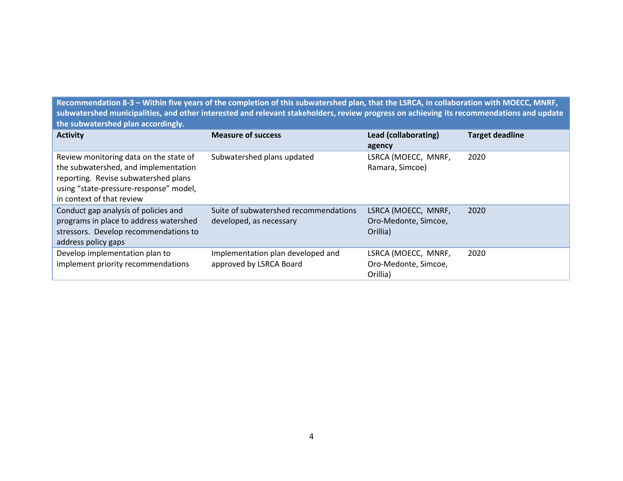**Recommendation 8-3 – Within five years of the completion of this subwatershed plan, that the LSRCA, in collaboration with MOECC, MNRF, subwatershed municipalities, and other interested and relevant stakeholders, review progress on achieving its recommendations and update the subwatershed plan accordingly.** 

| <b>Activity</b>                                                                                                                                                                               | <b>Measure of success</b>                                        | Lead (collaborating)<br>agency                          | <b>Target deadline</b> |
|-----------------------------------------------------------------------------------------------------------------------------------------------------------------------------------------------|------------------------------------------------------------------|---------------------------------------------------------|------------------------|
| Review monitoring data on the state of<br>the subwatershed, and implementation<br>reporting. Revise subwatershed plans<br>using "state-pressure-response" model,<br>in context of that review | Subwatershed plans updated                                       | LSRCA (MOECC, MNRF,<br>Ramara, Simcoe)                  | 2020                   |
| Conduct gap analysis of policies and<br>programs in place to address watershed<br>stressors. Develop recommendations to<br>address policy gaps                                                | Suite of subwatershed recommendations<br>developed, as necessary | LSRCA (MOECC, MNRF,<br>Oro-Medonte, Simcoe,<br>Orillia) | 2020                   |
| Develop implementation plan to<br>implement priority recommendations                                                                                                                          | Implementation plan developed and<br>approved by LSRCA Board     | LSRCA (MOECC, MNRF,<br>Oro-Medonte, Simcoe,<br>Orillia) | 2020                   |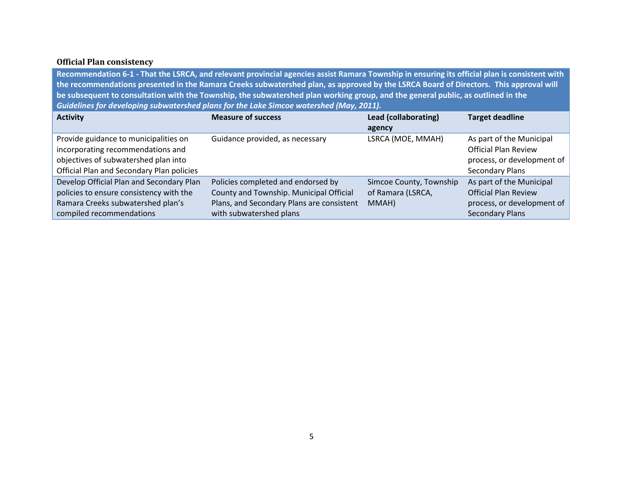# <span id="page-6-0"></span>**Official Plan consistency**

**Recommendation 6-1 - That the LSRCA, and relevant provincial agencies assist Ramara Township in ensuring its official plan is consistent with the recommendations presented in the Ramara Creeks subwatershed plan, as approved by the LSRCA Board of Directors. This approval will be subsequent to consultation with the Township, the subwatershed plan working group, and the general public, as outlined in the**  *Guidelines for developing subwatershed plans for the Lake Simcoe watershed (May, 2011).*

| <b>Activity</b>                           | <b>Measure of success</b>                 | Lead (collaborating)    | <b>Target deadline</b>      |
|-------------------------------------------|-------------------------------------------|-------------------------|-----------------------------|
|                                           |                                           | agency                  |                             |
| Provide guidance to municipalities on     | Guidance provided, as necessary           | LSRCA (MOE, MMAH)       | As part of the Municipal    |
| incorporating recommendations and         |                                           |                         | <b>Official Plan Review</b> |
| objectives of subwatershed plan into      |                                           |                         | process, or development of  |
| Official Plan and Secondary Plan policies |                                           |                         | <b>Secondary Plans</b>      |
| Develop Official Plan and Secondary Plan  | Policies completed and endorsed by        | Simcoe County, Township | As part of the Municipal    |
| policies to ensure consistency with the   | County and Township. Municipal Official   | of Ramara (LSRCA,       | <b>Official Plan Review</b> |
| Ramara Creeks subwatershed plan's         | Plans, and Secondary Plans are consistent | MMAH)                   | process, or development of  |
| compiled recommendations                  | with subwatershed plans                   |                         | <b>Secondary Plans</b>      |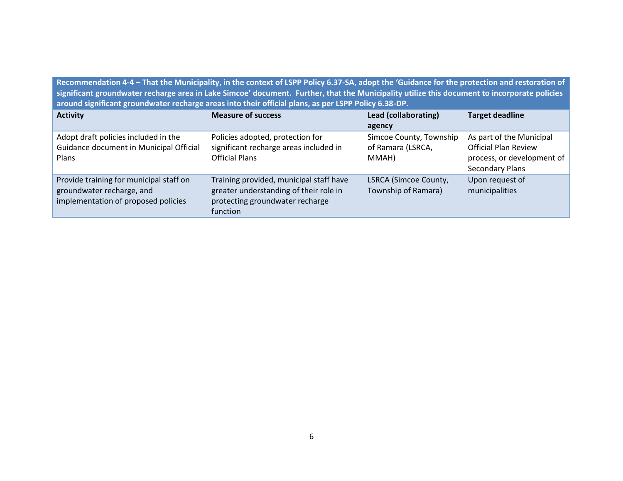**Recommendation 4-4 – That the Municipality, in the context of LSPP Policy 6.37-SA, adopt the 'Guidance for the protection and restoration of significant groundwater recharge area in Lake Simcoe' document. Further, that the Municipality utilize this document to incorporate policies around significant groundwater recharge areas into their official plans, as per LSPP Policy 6.38-DP.**

| <b>Activity</b>                                                                                             | <b>Measure of success</b>                                                                                                        | Lead (collaborating)                                  | <b>Target deadline</b>                                                                                          |
|-------------------------------------------------------------------------------------------------------------|----------------------------------------------------------------------------------------------------------------------------------|-------------------------------------------------------|-----------------------------------------------------------------------------------------------------------------|
|                                                                                                             |                                                                                                                                  | agency                                                |                                                                                                                 |
| Adopt draft policies included in the<br>Guidance document in Municipal Official<br><b>Plans</b>             | Policies adopted, protection for<br>significant recharge areas included in<br><b>Official Plans</b>                              | Simcoe County, Township<br>of Ramara (LSRCA,<br>MMAH) | As part of the Municipal<br><b>Official Plan Review</b><br>process, or development of<br><b>Secondary Plans</b> |
| Provide training for municipal staff on<br>groundwater recharge, and<br>implementation of proposed policies | Training provided, municipal staff have<br>greater understanding of their role in<br>protecting groundwater recharge<br>function | LSRCA (Simcoe County,<br>Township of Ramara)          | Upon request of<br>municipalities                                                                               |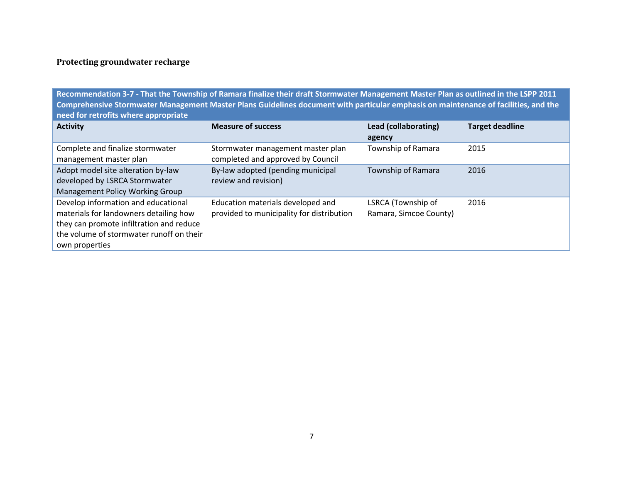# <span id="page-8-0"></span>**Protecting groundwater recharge**

**Recommendation 3-7 - That the Township of Ramara finalize their draft Stormwater Management Master Plan as outlined in the LSPP 2011 Comprehensive Stormwater Management Master Plans Guidelines document with particular emphasis on maintenance of facilities, and the need for retrofits where appropriate**

| <b>Activity</b>                                                                                                                                                                         | <b>Measure of success</b>                                                      | Lead (collaborating)<br>agency               | <b>Target deadline</b> |
|-----------------------------------------------------------------------------------------------------------------------------------------------------------------------------------------|--------------------------------------------------------------------------------|----------------------------------------------|------------------------|
| Complete and finalize stormwater<br>management master plan                                                                                                                              | Stormwater management master plan<br>completed and approved by Council         | Township of Ramara                           | 2015                   |
| Adopt model site alteration by-law<br>developed by LSRCA Stormwater<br><b>Management Policy Working Group</b>                                                                           | By-law adopted (pending municipal<br>review and revision)                      | Township of Ramara                           | 2016                   |
| Develop information and educational<br>materials for landowners detailing how<br>they can promote infiltration and reduce<br>the volume of stormwater runoff on their<br>own properties | Education materials developed and<br>provided to municipality for distribution | LSRCA (Township of<br>Ramara, Simcoe County) | 2016                   |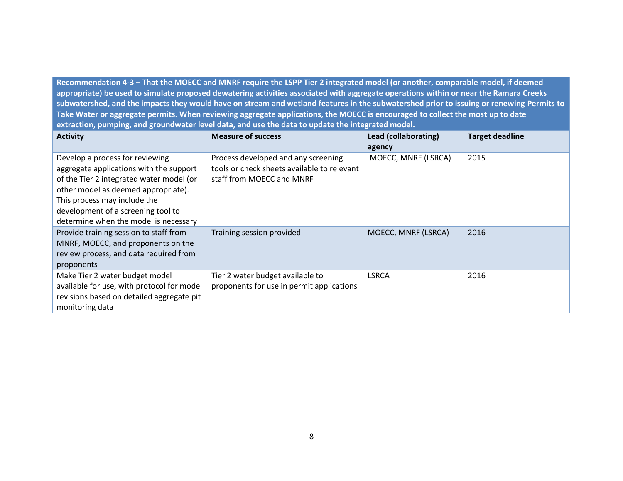**Recommendation 4-3 – That the MOECC and MNRF require the LSPP Tier 2 integrated model (or another, comparable model, if deemed appropriate) be used to simulate proposed dewatering activities associated with aggregate operations within or near the Ramara Creeks subwatershed, and the impacts they would have on stream and wetland features in the subwatershed prior to issuing or renewing Permits to Take Water or aggregate permits. When reviewing aggregate applications, the MOECC is encouraged to collect the most up to date extraction, pumping, and groundwater level data, and use the data to update the integrated model.**

| <b>Activity</b>                                                                                                                                                                                                                                                              | <b>Measure of success</b>                                                                                       | Lead (collaborating)<br>agency | <b>Target deadline</b> |
|------------------------------------------------------------------------------------------------------------------------------------------------------------------------------------------------------------------------------------------------------------------------------|-----------------------------------------------------------------------------------------------------------------|--------------------------------|------------------------|
| Develop a process for reviewing<br>aggregate applications with the support<br>of the Tier 2 integrated water model (or<br>other model as deemed appropriate).<br>This process may include the<br>development of a screening tool to<br>determine when the model is necessary | Process developed and any screening<br>tools or check sheets available to relevant<br>staff from MOECC and MNRF | MOECC, MNRF (LSRCA)            | 2015                   |
| Provide training session to staff from<br>MNRF, MOECC, and proponents on the<br>review process, and data required from<br>proponents                                                                                                                                         | Training session provided                                                                                       | MOECC, MNRF (LSRCA)            | 2016                   |
| Make Tier 2 water budget model<br>available for use, with protocol for model<br>revisions based on detailed aggregate pit<br>monitoring data                                                                                                                                 | Tier 2 water budget available to<br>proponents for use in permit applications                                   | <b>LSRCA</b>                   | 2016                   |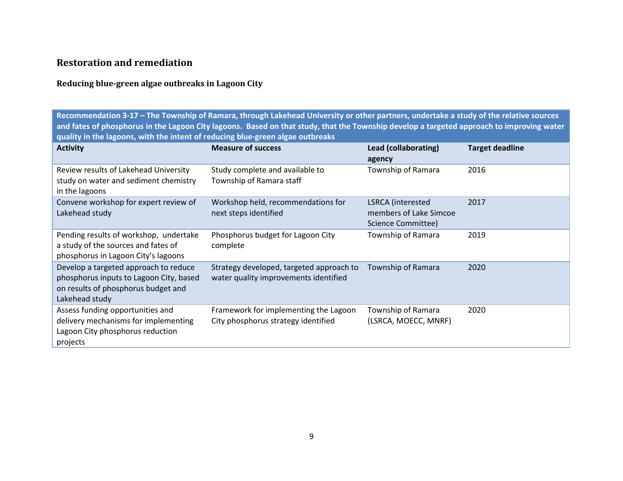# <span id="page-10-0"></span>**Restoration and remediation**

# <span id="page-10-1"></span>**Reducing blue-green algae outbreaks in Lagoon City**

**Recommendation 3-17 – The Township of Ramara, through Lakehead University or other partners, undertake a study of the relative sources and fates of phosphorus in the Lagoon City lagoons. Based on that study, that the Township develop a targeted approach to improving water quality in the lagoons, with the intent of reducing blue-green algae outbreaks**

| <b>Activity</b>                                                                                                                           | <b>Measure of success</b>                                                         | Lead (collaborating)<br>agency                                    | <b>Target deadline</b> |
|-------------------------------------------------------------------------------------------------------------------------------------------|-----------------------------------------------------------------------------------|-------------------------------------------------------------------|------------------------|
| Review results of Lakehead University<br>study on water and sediment chemistry<br>in the lagoons                                          | Study complete and available to<br>Township of Ramara staff                       | Township of Ramara                                                | 2016                   |
| Convene workshop for expert review of<br>Lakehead study                                                                                   | Workshop held, recommendations for<br>next steps identified                       | LSRCA (interested<br>members of Lake Simcoe<br>Science Committee) | 2017                   |
| Pending results of workshop, undertake<br>a study of the sources and fates of<br>phosphorus in Lagoon City's lagoons                      | Phosphorus budget for Lagoon City<br>complete                                     | Township of Ramara                                                | 2019                   |
| Develop a targeted approach to reduce<br>phosphorus inputs to Lagoon City, based<br>on results of phosphorus budget and<br>Lakehead study | Strategy developed, targeted approach to<br>water quality improvements identified | Township of Ramara                                                | 2020                   |
| Assess funding opportunities and<br>delivery mechanisms for implementing<br>Lagoon City phosphorus reduction<br>projects                  | Framework for implementing the Lagoon<br>City phosphorus strategy identified      | Township of Ramara<br>(LSRCA, MOECC, MNRF)                        | 2020                   |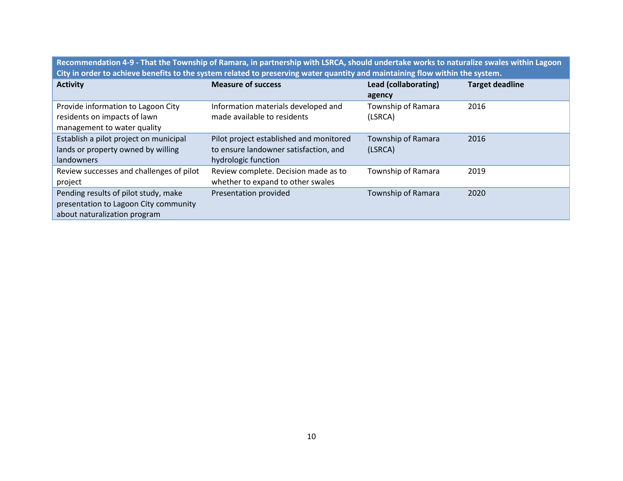**Recommendation 4-9 - That the Township of Ramara, in partnership with LSRCA, should undertake works to naturalize swales within Lagoon City in order to achieve benefits to the system related to preserving water quantity and maintaining flow within the system.**

| <b>Activity</b>                                                                                               | <b>Measure of success</b>                                                                               | <b>Lead (collaborating)</b><br>agency | <b>Target deadline</b> |
|---------------------------------------------------------------------------------------------------------------|---------------------------------------------------------------------------------------------------------|---------------------------------------|------------------------|
| Provide information to Lagoon City<br>residents on impacts of lawn<br>management to water quality             | Information materials developed and<br>made available to residents                                      | Township of Ramara<br>(LSRCA)         | 2016                   |
| Establish a pilot project on municipal<br>lands or property owned by willing<br>landowners                    | Pilot project established and monitored<br>to ensure landowner satisfaction, and<br>hydrologic function | Township of Ramara<br>(LSRCA)         | 2016                   |
| Review successes and challenges of pilot<br>project                                                           | Review complete. Decision made as to<br>whether to expand to other swales                               | Township of Ramara                    | 2019                   |
| Pending results of pilot study, make<br>presentation to Lagoon City community<br>about naturalization program | Presentation provided                                                                                   | Township of Ramara                    | 2020                   |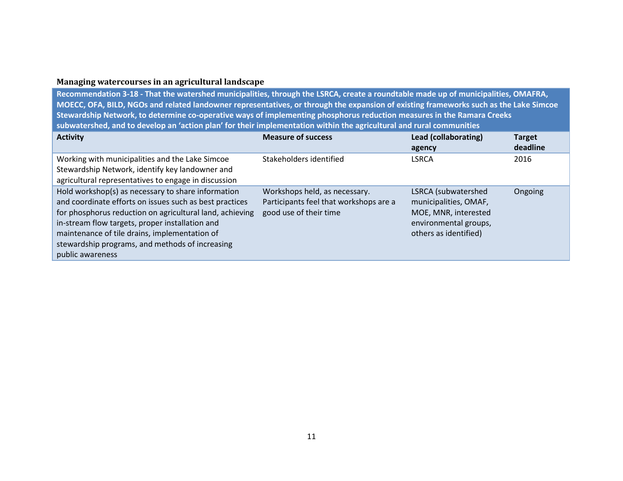## <span id="page-12-0"></span>**Managing watercourses in an agricultural landscape**

**Recommendation 3-18 - That the watershed municipalities, through the LSRCA, create a roundtable made up of municipalities, OMAFRA, MOECC, OFA, BILD, NGOs and related landowner representatives, or through the expansion of existing frameworks such as the Lake Simcoe Stewardship Network, to determine co-operative ways of implementing phosphorus reduction measures in the Ramara Creeks subwatershed, and to develop an 'action plan' for their implementation within the agricultural and rural communities**

| <b>Activity</b>                                                                                                                                                                                                                                                                                                                                      | <b>Measure of success</b>                                                                         | Lead (collaborating)<br>agency                                                                                         | <b>Target</b><br>deadline |
|------------------------------------------------------------------------------------------------------------------------------------------------------------------------------------------------------------------------------------------------------------------------------------------------------------------------------------------------------|---------------------------------------------------------------------------------------------------|------------------------------------------------------------------------------------------------------------------------|---------------------------|
| Working with municipalities and the Lake Simcoe<br>Stewardship Network, identify key landowner and<br>agricultural representatives to engage in discussion                                                                                                                                                                                           | Stakeholders identified                                                                           | <b>LSRCA</b>                                                                                                           | 2016                      |
| Hold workshop(s) as necessary to share information<br>and coordinate efforts on issues such as best practices<br>for phosphorus reduction on agricultural land, achieving<br>in-stream flow targets, proper installation and<br>maintenance of tile drains, implementation of<br>stewardship programs, and methods of increasing<br>public awareness | Workshops held, as necessary.<br>Participants feel that workshops are a<br>good use of their time | LSRCA (subwatershed<br>municipalities, OMAF,<br>MOE, MNR, interested<br>environmental groups,<br>others as identified) | Ongoing                   |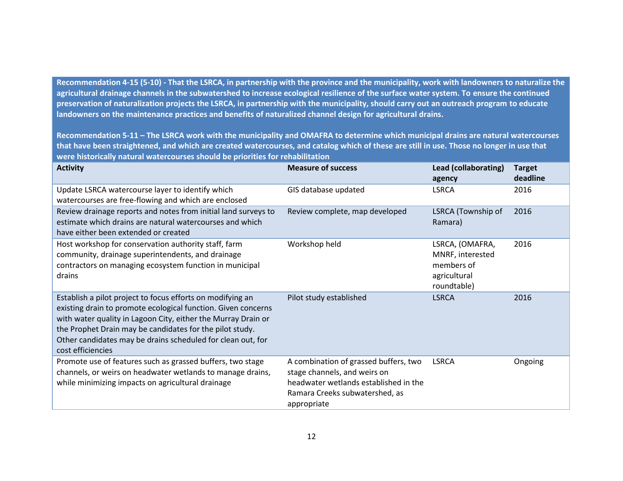**Recommendation 4-15 (5-10) - That the LSRCA, in partnership with the province and the municipality, work with landowners to naturalize the agricultural drainage channels in the subwatershed to increase ecological resilience of the surface water system. To ensure the continued preservation of naturalization projects the LSRCA, in partnership with the municipality, should carry out an outreach program to educate landowners on the maintenance practices and benefits of naturalized channel design for agricultural drains.** 

**Recommendation 5-11 – The LSRCA work with the municipality and OMAFRA to determine which municipal drains are natural watercourses that have been straightened, and which are created watercourses, and catalog which of these are still in use. Those no longer in use that were historically natural watercourses should be priorities for rehabilitation**

| <b>Activity</b>                                                                                                                                                                                                                                                                                                                              | <b>Measure of success</b>                                                                                                                                       | Lead (collaborating)<br>agency                                                   | <b>Target</b><br>deadline |
|----------------------------------------------------------------------------------------------------------------------------------------------------------------------------------------------------------------------------------------------------------------------------------------------------------------------------------------------|-----------------------------------------------------------------------------------------------------------------------------------------------------------------|----------------------------------------------------------------------------------|---------------------------|
| Update LSRCA watercourse layer to identify which<br>watercourses are free-flowing and which are enclosed                                                                                                                                                                                                                                     | GIS database updated                                                                                                                                            | <b>LSRCA</b>                                                                     | 2016                      |
| Review drainage reports and notes from initial land surveys to<br>estimate which drains are natural watercourses and which<br>have either been extended or created                                                                                                                                                                           | Review complete, map developed                                                                                                                                  | LSRCA (Township of<br>Ramara)                                                    | 2016                      |
| Host workshop for conservation authority staff, farm<br>community, drainage superintendents, and drainage<br>contractors on managing ecosystem function in municipal<br>drains                                                                                                                                                               | Workshop held                                                                                                                                                   | LSRCA, (OMAFRA,<br>MNRF, interested<br>members of<br>agricultural<br>roundtable) | 2016                      |
| Establish a pilot project to focus efforts on modifying an<br>existing drain to promote ecological function. Given concerns<br>with water quality in Lagoon City, either the Murray Drain or<br>the Prophet Drain may be candidates for the pilot study.<br>Other candidates may be drains scheduled for clean out, for<br>cost efficiencies | Pilot study established                                                                                                                                         | <b>LSRCA</b>                                                                     | 2016                      |
| Promote use of features such as grassed buffers, two stage<br>channels, or weirs on headwater wetlands to manage drains,<br>while minimizing impacts on agricultural drainage                                                                                                                                                                | A combination of grassed buffers, two<br>stage channels, and weirs on<br>headwater wetlands established in the<br>Ramara Creeks subwatershed, as<br>appropriate | <b>LSRCA</b>                                                                     | Ongoing                   |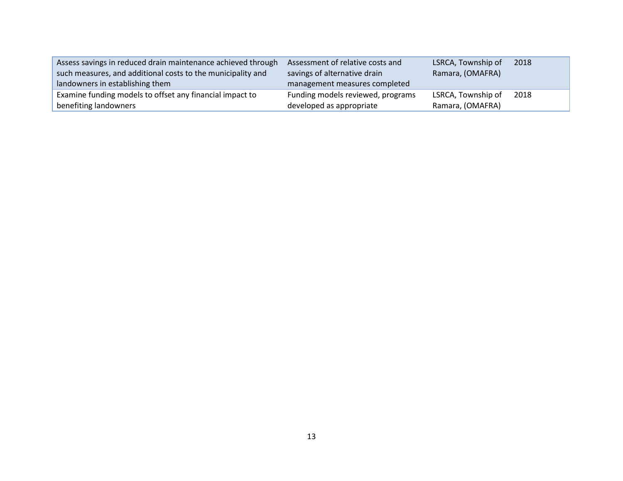| Assess savings in reduced drain maintenance achieved through | Assessment of relative costs and  | LSRCA, Township of | 2018 |
|--------------------------------------------------------------|-----------------------------------|--------------------|------|
| such measures, and additional costs to the municipality and  | savings of alternative drain      | Ramara, (OMAFRA)   |      |
| landowners in establishing them                              | management measures completed     |                    |      |
| Examine funding models to offset any financial impact to     | Funding models reviewed, programs | LSRCA, Township of | 2018 |
| benefiting landowners                                        | developed as appropriate          | Ramara, (OMAFRA)   |      |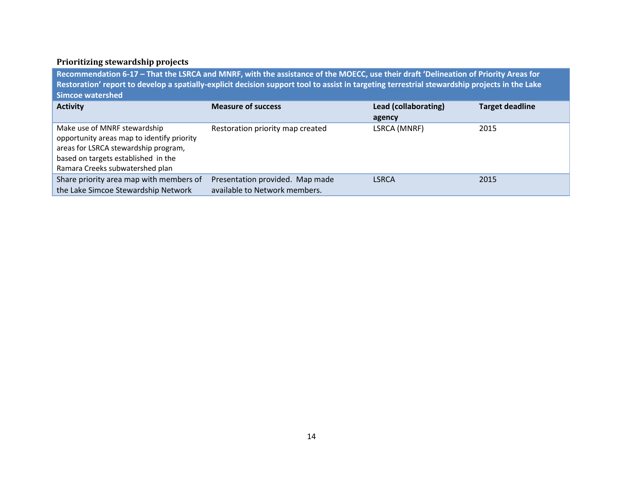## <span id="page-15-0"></span>**Prioritizing stewardship projects**

**Recommendation 6-17 – That the LSRCA and MNRF, with the assistance of the MOECC, use their draft 'Delineation of Priority Areas for Restoration' report to develop a spatially-explicit decision support tool to assist in targeting terrestrial stewardship projects in the Lake Simcoe watershed**

| <b>Activity</b>                            | <b>Measure of success</b>        | Lead (collaborating) | <b>Target deadline</b> |
|--------------------------------------------|----------------------------------|----------------------|------------------------|
|                                            |                                  | agency               |                        |
| Make use of MNRF stewardship               | Restoration priority map created | LSRCA (MNRF)         | 2015                   |
| opportunity areas map to identify priority |                                  |                      |                        |
| areas for LSRCA stewardship program,       |                                  |                      |                        |
| based on targets established in the        |                                  |                      |                        |
| Ramara Creeks subwatershed plan            |                                  |                      |                        |
| Share priority area map with members of    | Presentation provided. Map made  | <b>LSRCA</b>         | 2015                   |
| the Lake Simcoe Stewardship Network        | available to Network members.    |                      |                        |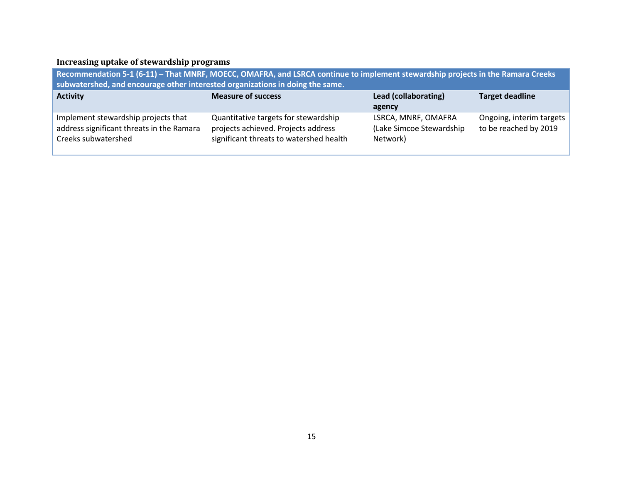# <span id="page-16-0"></span>**Increasing uptake of stewardship programs**

| Recommendation 5-1 (6-11) – That MNRF, MOECC, OMAFRA, and LSRCA continue to implement stewardship projects in the Ramara Creeks<br>subwatershed, and encourage other interested organizations in doing the same. |                                                                                                                        |                                                              |                                                   |
|------------------------------------------------------------------------------------------------------------------------------------------------------------------------------------------------------------------|------------------------------------------------------------------------------------------------------------------------|--------------------------------------------------------------|---------------------------------------------------|
| <b>Activity</b>                                                                                                                                                                                                  | <b>Measure of success</b>                                                                                              | Lead (collaborating)<br>agency                               | <b>Target deadline</b>                            |
| Implement stewardship projects that<br>address significant threats in the Ramara<br>Creeks subwatershed                                                                                                          | Quantitative targets for stewardship<br>projects achieved. Projects address<br>significant threats to watershed health | LSRCA, MNRF, OMAFRA<br>(Lake Simcoe Stewardship)<br>Network) | Ongoing, interim targets<br>to be reached by 2019 |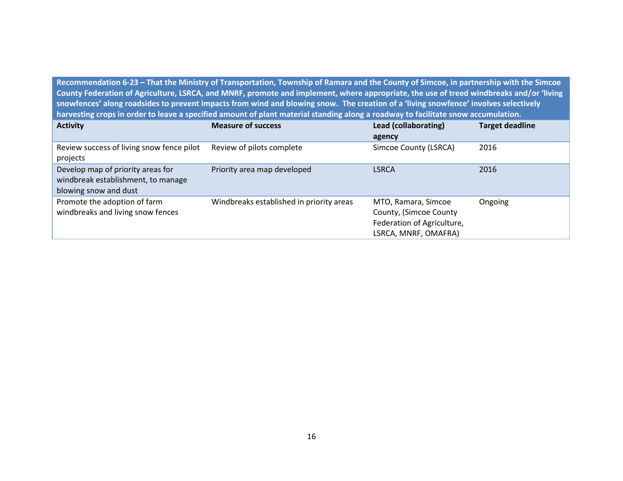**Recommendation 6-23 – That the Ministry of Transportation, Township of Ramara and the County of Simcoe, in partnership with the Simcoe County Federation of Agriculture, LSRCA, and MNRF, promote and implement, where appropriate, the use of treed windbreaks and/or 'living snowfences' along roadsides to prevent impacts from wind and blowing snow. The creation of a 'living snowfence' involves selectively harvesting crops in order to leave a specified amount of plant material standing along a roadway to facilitate snow accumulation.** 

| <b>Activity</b>                                                                                  | <b>Measure of success</b>                | Lead (collaborating)<br>agency                                                                      | <b>Target deadline</b> |
|--------------------------------------------------------------------------------------------------|------------------------------------------|-----------------------------------------------------------------------------------------------------|------------------------|
| Review success of living snow fence pilot<br>projects                                            | Review of pilots complete                | Simcoe County (LSRCA)                                                                               | 2016                   |
| Develop map of priority areas for<br>windbreak establishment, to manage<br>blowing snow and dust | Priority area map developed              | <b>LSRCA</b>                                                                                        | 2016                   |
| Promote the adoption of farm<br>windbreaks and living snow fences                                | Windbreaks established in priority areas | MTO, Ramara, Simcoe<br>County, (Simcoe County<br>Federation of Agriculture,<br>LSRCA, MNRF, OMAFRA) | Ongoing                |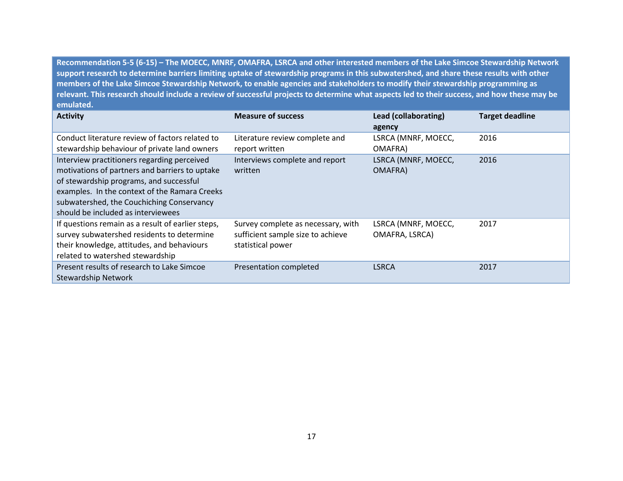**Recommendation 5-5 (6-15) – The MOECC, MNRF, OMAFRA, LSRCA and other interested members of the Lake Simcoe Stewardship Network support research to determine barriers limiting uptake of stewardship programs in this subwatershed, and share these results with other members of the Lake Simcoe Stewardship Network, to enable agencies and stakeholders to modify their stewardship programming as relevant. This research should include a review of successful projects to determine what aspects led to their success, and how these may be emulated.** 

| <b>Activity</b>                                                                                                                                                                                                                                                              | <b>Measure of success</b>                                                                    | Lead (collaborating)                  | <b>Target deadline</b> |
|------------------------------------------------------------------------------------------------------------------------------------------------------------------------------------------------------------------------------------------------------------------------------|----------------------------------------------------------------------------------------------|---------------------------------------|------------------------|
|                                                                                                                                                                                                                                                                              |                                                                                              | agency                                |                        |
| Conduct literature review of factors related to<br>stewardship behaviour of private land owners                                                                                                                                                                              | Literature review complete and<br>report written                                             | LSRCA (MNRF, MOECC,<br>OMAFRA)        | 2016                   |
| Interview practitioners regarding perceived<br>motivations of partners and barriers to uptake<br>of stewardship programs, and successful<br>examples. In the context of the Ramara Creeks<br>subwatershed, the Couchiching Conservancy<br>should be included as interviewees | Interviews complete and report<br>written                                                    | LSRCA (MNRF, MOECC,<br>OMAFRA)        | 2016                   |
| If questions remain as a result of earlier steps,<br>survey subwatershed residents to determine<br>their knowledge, attitudes, and behaviours<br>related to watershed stewardship                                                                                            | Survey complete as necessary, with<br>sufficient sample size to achieve<br>statistical power | LSRCA (MNRF, MOECC,<br>OMAFRA, LSRCA) | 2017                   |
| Present results of research to Lake Simcoe<br><b>Stewardship Network</b>                                                                                                                                                                                                     | Presentation completed                                                                       | <b>LSRCA</b>                          | 2017                   |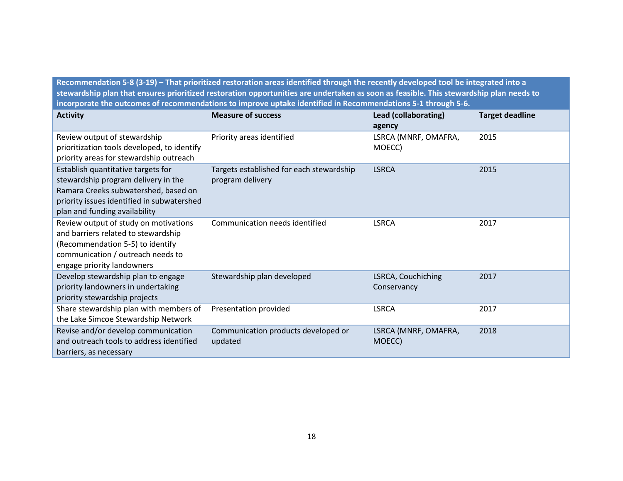**Recommendation 5-8 (3-19) – That prioritized restoration areas identified through the recently developed tool be integrated into a stewardship plan that ensures prioritized restoration opportunities are undertaken as soon as feasible. This stewardship plan needs to incorporate the outcomes of recommendations to improve uptake identified in Recommendations 5-1 through 5-6.** 

| <b>Activity</b>                                                                                                                                                                                  | <b>Measure of success</b>                                    | Lead (collaborating)<br>agency    | <b>Target deadline</b> |
|--------------------------------------------------------------------------------------------------------------------------------------------------------------------------------------------------|--------------------------------------------------------------|-----------------------------------|------------------------|
| Review output of stewardship<br>prioritization tools developed, to identify<br>priority areas for stewardship outreach                                                                           | Priority areas identified                                    | LSRCA (MNRF, OMAFRA,<br>MOECC)    | 2015                   |
| Establish quantitative targets for<br>stewardship program delivery in the<br>Ramara Creeks subwatershed, based on<br>priority issues identified in subwatershed<br>plan and funding availability | Targets established for each stewardship<br>program delivery | <b>LSRCA</b>                      | 2015                   |
| Review output of study on motivations<br>and barriers related to stewardship<br>(Recommendation 5-5) to identify<br>communication / outreach needs to<br>engage priority landowners              | Communication needs identified                               | <b>LSRCA</b>                      | 2017                   |
| Develop stewardship plan to engage<br>priority landowners in undertaking<br>priority stewardship projects                                                                                        | Stewardship plan developed                                   | LSRCA, Couchiching<br>Conservancy | 2017                   |
| Share stewardship plan with members of<br>the Lake Simcoe Stewardship Network                                                                                                                    | Presentation provided                                        | <b>LSRCA</b>                      | 2017                   |
| Revise and/or develop communication<br>and outreach tools to address identified<br>barriers, as necessary                                                                                        | Communication products developed or<br>updated               | LSRCA (MNRF, OMAFRA,<br>MOECC)    | 2018                   |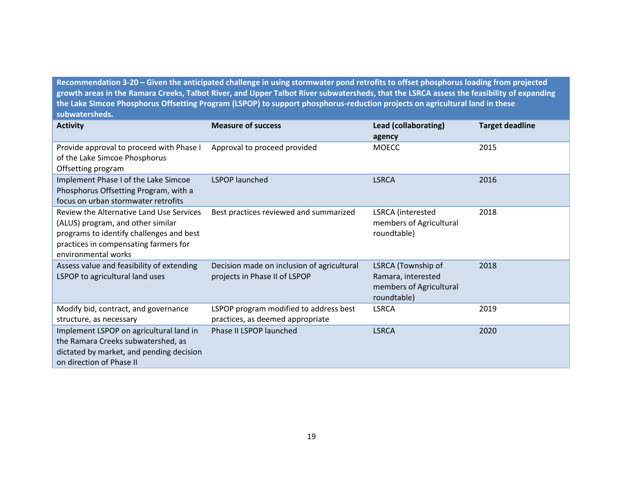**Recommendation 3-20 – Given the anticipated challenge in using stormwater pond retrofits to offset phosphorus loading from projected growth areas in the Ramara Creeks, Talbot River, and Upper Talbot River subwatersheds, that the LSRCA assess the feasibility of expanding the Lake Simcoe Phosphorus Offsetting Program (LSPOP) to support phosphorus-reduction projects on agricultural land in these subwatersheds.** 

| <b>Activity</b>                                                                                                                                                                           | <b>Measure of success</b>                                                   | Lead (collaborating)<br>agency                                                     | <b>Target deadline</b> |
|-------------------------------------------------------------------------------------------------------------------------------------------------------------------------------------------|-----------------------------------------------------------------------------|------------------------------------------------------------------------------------|------------------------|
| Provide approval to proceed with Phase I<br>of the Lake Simcoe Phosphorus<br>Offsetting program                                                                                           | Approval to proceed provided                                                | <b>MOECC</b>                                                                       | 2015                   |
| Implement Phase I of the Lake Simcoe<br>Phosphorus Offsetting Program, with a<br>focus on urban stormwater retrofits                                                                      | <b>LSPOP</b> launched                                                       | <b>LSRCA</b>                                                                       | 2016                   |
| Review the Alternative Land Use Services<br>(ALUS) program, and other similar<br>programs to identify challenges and best<br>practices in compensating farmers for<br>environmental works | Best practices reviewed and summarized                                      | LSRCA (interested<br>members of Agricultural<br>roundtable)                        | 2018                   |
| Assess value and feasibility of extending<br>LSPOP to agricultural land uses                                                                                                              | Decision made on inclusion of agricultural<br>projects in Phase II of LSPOP | LSRCA (Township of<br>Ramara, interested<br>members of Agricultural<br>roundtable) | 2018                   |
| Modify bid, contract, and governance<br>structure, as necessary                                                                                                                           | LSPOP program modified to address best<br>practices, as deemed appropriate  | <b>LSRCA</b>                                                                       | 2019                   |
| Implement LSPOP on agricultural land in<br>the Ramara Creeks subwatershed, as<br>dictated by market, and pending decision<br>on direction of Phase II                                     | Phase II LSPOP launched                                                     | <b>LSRCA</b>                                                                       | 2020                   |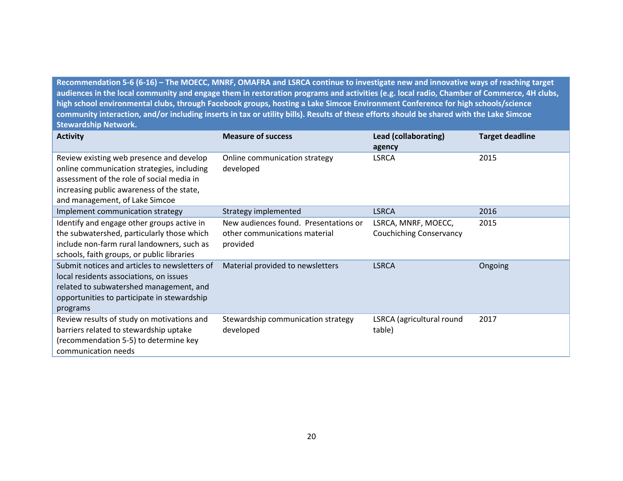**Recommendation 5-6 (6-16) – The MOECC, MNRF, OMAFRA and LSRCA continue to investigate new and innovative ways of reaching target audiences in the local community and engage them in restoration programs and activities (e.g. local radio, Chamber of Commerce, 4H clubs, high school environmental clubs, through Facebook groups, hosting a Lake Simcoe Environment Conference for high schools/science community interaction, and/or including inserts in tax or utility bills). Results of these efforts should be shared with the Lake Simcoe Stewardship Network.**

| <b>Activity</b>                                                                                                                                                                                                    | <b>Measure of success</b>                                                          | Lead (collaborating)<br>agency                        | <b>Target deadline</b> |
|--------------------------------------------------------------------------------------------------------------------------------------------------------------------------------------------------------------------|------------------------------------------------------------------------------------|-------------------------------------------------------|------------------------|
| Review existing web presence and develop<br>online communication strategies, including<br>assessment of the role of social media in<br>increasing public awareness of the state,<br>and management, of Lake Simcoe | Online communication strategy<br>developed                                         | <b>LSRCA</b>                                          | 2015                   |
| Implement communication strategy                                                                                                                                                                                   | Strategy implemented                                                               | <b>LSRCA</b>                                          | 2016                   |
| Identify and engage other groups active in<br>the subwatershed, particularly those which<br>include non-farm rural landowners, such as<br>schools, faith groups, or public libraries                               | New audiences found. Presentations or<br>other communications material<br>provided | LSRCA, MNRF, MOECC,<br><b>Couchiching Conservancy</b> | 2015                   |
| Submit notices and articles to newsletters of<br>local residents associations, on issues<br>related to subwatershed management, and<br>opportunities to participate in stewardship<br>programs                     | Material provided to newsletters                                                   | <b>LSRCA</b>                                          | Ongoing                |
| Review results of study on motivations and<br>barriers related to stewardship uptake<br>(recommendation 5-5) to determine key<br>communication needs                                                               | Stewardship communication strategy<br>developed                                    | LSRCA (agricultural round<br>table)                   | 2017                   |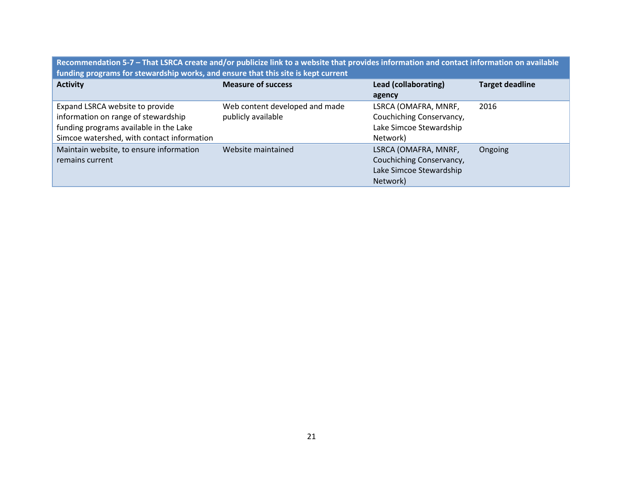**Recommendation 5-7 – That LSRCA create and/or publicize link to a website that provides information and contact information on available funding programs for stewardship works, and ensure that this site is kept current**

| <b>Activity</b>                                                                                                                                                | <b>Measure of success</b>                            | Lead (collaborating)                                                                    | <b>Target deadline</b> |
|----------------------------------------------------------------------------------------------------------------------------------------------------------------|------------------------------------------------------|-----------------------------------------------------------------------------------------|------------------------|
|                                                                                                                                                                |                                                      | agency                                                                                  |                        |
| Expand LSRCA website to provide<br>information on range of stewardship<br>funding programs available in the Lake<br>Simcoe watershed, with contact information | Web content developed and made<br>publicly available | LSRCA (OMAFRA, MNRF,<br>Couchiching Conservancy,<br>Lake Simcoe Stewardship<br>Network) | 2016                   |
| Maintain website, to ensure information<br>remains current                                                                                                     | Website maintained                                   | LSRCA (OMAFRA, MNRF,<br>Couchiching Conservancy,<br>Lake Simcoe Stewardship<br>Network) | Ongoing                |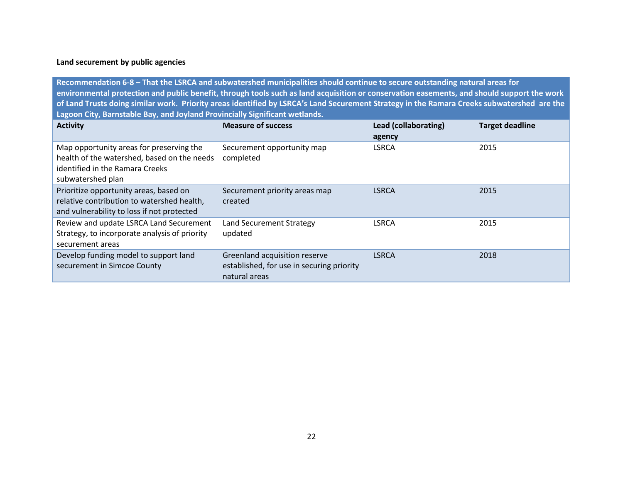## **Land securement by public agencies**

**Recommendation 6-8 – That the LSRCA and subwatershed municipalities should continue to secure outstanding natural areas for environmental protection and public benefit, through tools such as land acquisition or conservation easements, and should support the work of Land Trusts doing similar work. Priority areas identified by LSRCA's Land Securement Strategy in the Ramara Creeks subwatershed are the Lagoon City, Barnstable Bay, and Joyland Provincially Significant wetlands.**

| <b>Activity</b>                                                                                                                                 | <b>Measure of success</b>                                                                   | Lead (collaborating)<br>agency | <b>Target deadline</b> |
|-------------------------------------------------------------------------------------------------------------------------------------------------|---------------------------------------------------------------------------------------------|--------------------------------|------------------------|
| Map opportunity areas for preserving the<br>health of the watershed, based on the needs<br>identified in the Ramara Creeks<br>subwatershed plan | Securement opportunity map<br>completed                                                     | <b>LSRCA</b>                   | 2015                   |
| Prioritize opportunity areas, based on<br>relative contribution to watershed health,<br>and vulnerability to loss if not protected              | Securement priority areas map<br>created                                                    | <b>LSRCA</b>                   | 2015                   |
| Review and update LSRCA Land Securement<br>Strategy, to incorporate analysis of priority<br>securement areas                                    | Land Securement Strategy<br>updated                                                         | <b>LSRCA</b>                   | 2015                   |
| Develop funding model to support land<br>securement in Simcoe County                                                                            | Greenland acquisition reserve<br>established, for use in securing priority<br>natural areas | <b>LSRCA</b>                   | 2018                   |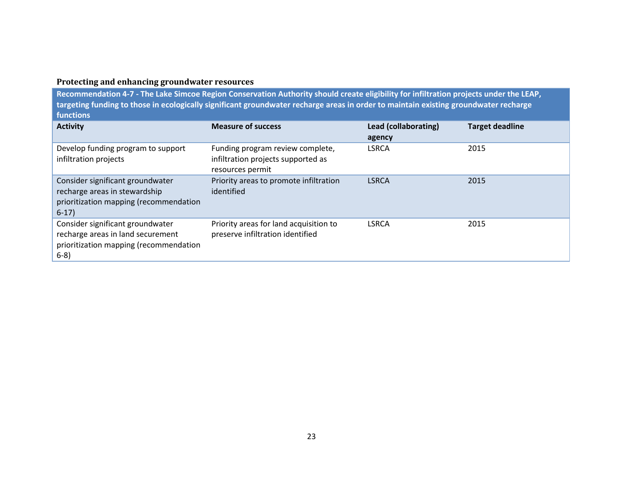# <span id="page-24-0"></span>**Protecting and enhancing groundwater resources**

**Recommendation 4-7 - The Lake Simcoe Region Conservation Authority should create eligibility for infiltration projects under the LEAP, targeting funding to those in ecologically significant groundwater recharge areas in order to maintain existing groundwater recharge functions**

| <b>Activity</b>                                                                                                           | <b>Measure of success</b>                                                                  | Lead (collaborating)<br>agency | <b>Target deadline</b> |
|---------------------------------------------------------------------------------------------------------------------------|--------------------------------------------------------------------------------------------|--------------------------------|------------------------|
| Develop funding program to support<br>infiltration projects                                                               | Funding program review complete,<br>infiltration projects supported as<br>resources permit | <b>LSRCA</b>                   | 2015                   |
| Consider significant groundwater<br>recharge areas in stewardship<br>prioritization mapping (recommendation<br>$6-17$     | Priority areas to promote infiltration<br>identified                                       | <b>LSRCA</b>                   | 2015                   |
| Consider significant groundwater<br>recharge areas in land securement<br>prioritization mapping (recommendation<br>$6-8)$ | Priority areas for land acquisition to<br>preserve infiltration identified                 | <b>LSRCA</b>                   | 2015                   |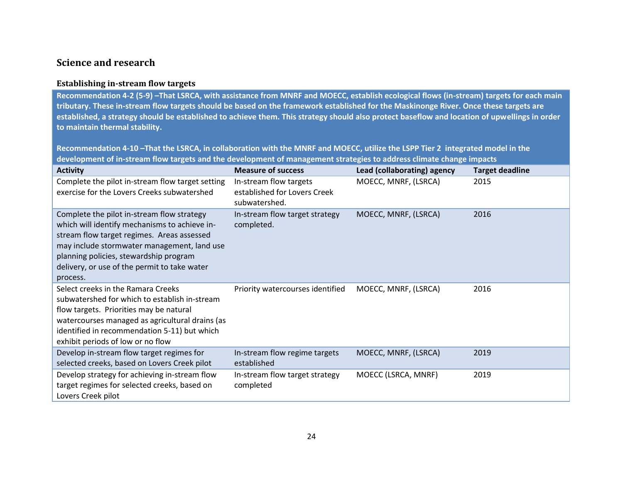# <span id="page-25-0"></span>**Science and research**

#### <span id="page-25-1"></span>**Establishing in-stream flow targets**

**Recommendation 4-2 (5-9) –That LSRCA, with assistance from MNRF and MOECC, establish ecological flows (in-stream) targets for each main tributary. These in-stream flow targets should be based on the framework established for the Maskinonge River. Once these targets are established, a strategy should be established to achieve them. This strategy should also protect baseflow and location of upwellings in order to maintain thermal stability.**

**Recommendation 4-10 –That the LSRCA, in collaboration with the MNRF and MOECC, utilize the LSPP Tier 2 integrated model in the development of in-stream flow targets and the development of management strategies to address climate change impacts**

| <b>Activity</b>                                                                                                                                                                                                                                                                                | <b>Measure of success</b>                                               | Lead (collaborating) agency | <b>Target deadline</b> |
|------------------------------------------------------------------------------------------------------------------------------------------------------------------------------------------------------------------------------------------------------------------------------------------------|-------------------------------------------------------------------------|-----------------------------|------------------------|
| Complete the pilot in-stream flow target setting<br>exercise for the Lovers Creeks subwatershed                                                                                                                                                                                                | In-stream flow targets<br>established for Lovers Creek<br>subwatershed. | MOECC, MNRF, (LSRCA)        | 2015                   |
| Complete the pilot in-stream flow strategy<br>which will identify mechanisms to achieve in-<br>stream flow target regimes. Areas assessed<br>may include stormwater management, land use<br>planning policies, stewardship program<br>delivery, or use of the permit to take water<br>process. | In-stream flow target strategy<br>completed.                            | MOECC, MNRF, (LSRCA)        | 2016                   |
| Select creeks in the Ramara Creeks<br>subwatershed for which to establish in-stream<br>flow targets. Priorities may be natural<br>watercourses managed as agricultural drains (as<br>identified in recommendation 5-11) but which<br>exhibit periods of low or no flow                         | Priority watercourses identified                                        | MOECC, MNRF, (LSRCA)        | 2016                   |
| Develop in-stream flow target regimes for<br>selected creeks, based on Lovers Creek pilot                                                                                                                                                                                                      | In-stream flow regime targets<br>established                            | MOECC, MNRF, (LSRCA)        | 2019                   |
| Develop strategy for achieving in-stream flow<br>target regimes for selected creeks, based on<br>Lovers Creek pilot                                                                                                                                                                            | In-stream flow target strategy<br>completed                             | MOECC (LSRCA, MNRF)         | 2019                   |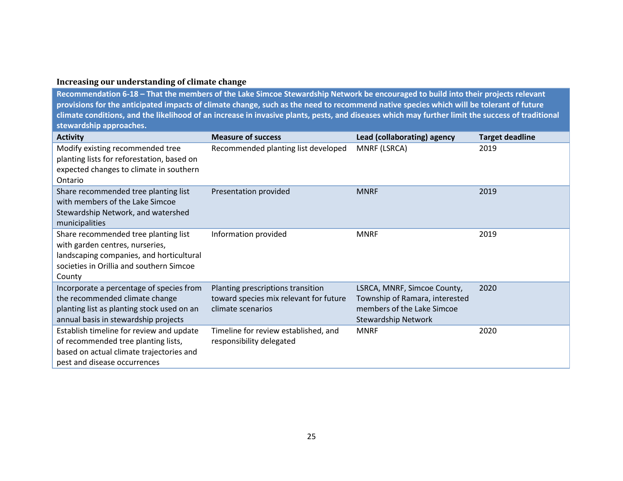## <span id="page-26-0"></span>**Increasing our understanding of climate change**

**Recommendation 6-18 – That the members of the Lake Simcoe Stewardship Network be encouraged to build into their projects relevant provisions for the anticipated impacts of climate change, such as the need to recommend native species which will be tolerant of future climate conditions, and the likelihood of an increase in invasive plants, pests, and diseases which may further limit the success of traditional stewardship approaches.** 

| <b>Activity</b>                                                                                                                                                           | <b>Measure of success</b>                                                                        | Lead (collaborating) agency                                                                                               | <b>Target deadline</b> |
|---------------------------------------------------------------------------------------------------------------------------------------------------------------------------|--------------------------------------------------------------------------------------------------|---------------------------------------------------------------------------------------------------------------------------|------------------------|
| Modify existing recommended tree<br>planting lists for reforestation, based on<br>expected changes to climate in southern<br>Ontario                                      | Recommended planting list developed                                                              | MNRF (LSRCA)                                                                                                              | 2019                   |
| Share recommended tree planting list<br>with members of the Lake Simcoe<br>Stewardship Network, and watershed<br>municipalities                                           | Presentation provided                                                                            | <b>MNRF</b>                                                                                                               | 2019                   |
| Share recommended tree planting list<br>with garden centres, nurseries,<br>landscaping companies, and horticultural<br>societies in Orillia and southern Simcoe<br>County | Information provided                                                                             | <b>MNRF</b>                                                                                                               | 2019                   |
| Incorporate a percentage of species from<br>the recommended climate change<br>planting list as planting stock used on an<br>annual basis in stewardship projects          | Planting prescriptions transition<br>toward species mix relevant for future<br>climate scenarios | LSRCA, MNRF, Simcoe County,<br>Township of Ramara, interested<br>members of the Lake Simcoe<br><b>Stewardship Network</b> | 2020                   |
| Establish timeline for review and update<br>of recommended tree planting lists,<br>based on actual climate trajectories and<br>pest and disease occurrences               | Timeline for review established, and<br>responsibility delegated                                 | <b>MNRF</b>                                                                                                               | 2020                   |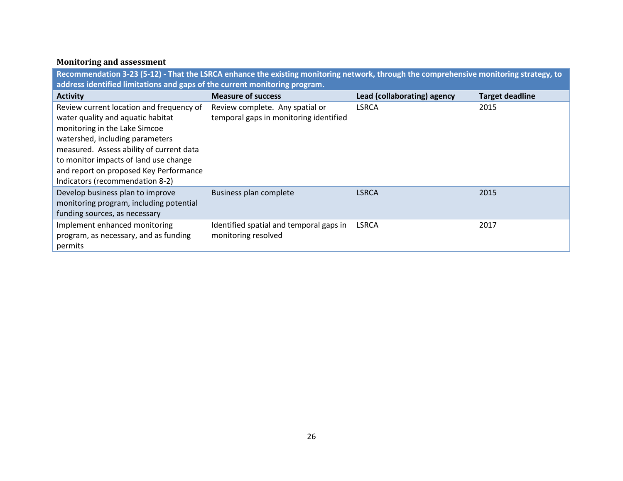# <span id="page-27-0"></span>**Monitoring and assessment**

**Recommendation 3-23 (5-12) - That the LSRCA enhance the existing monitoring network, through the comprehensive monitoring strategy, to address identified limitations and gaps of the current monitoring program.** 

| <b>Activity</b>                          | <b>Measure of success</b>               | Lead (collaborating) agency | <b>Target deadline</b> |
|------------------------------------------|-----------------------------------------|-----------------------------|------------------------|
| Review current location and frequency of | Review complete. Any spatial or         | <b>LSRCA</b>                | 2015                   |
| water quality and aquatic habitat        | temporal gaps in monitoring identified  |                             |                        |
| monitoring in the Lake Simcoe            |                                         |                             |                        |
| watershed, including parameters          |                                         |                             |                        |
| measured. Assess ability of current data |                                         |                             |                        |
| to monitor impacts of land use change    |                                         |                             |                        |
| and report on proposed Key Performance   |                                         |                             |                        |
| Indicators (recommendation 8-2)          |                                         |                             |                        |
| Develop business plan to improve         | Business plan complete                  | <b>LSRCA</b>                | 2015                   |
| monitoring program, including potential  |                                         |                             |                        |
| funding sources, as necessary            |                                         |                             |                        |
| Implement enhanced monitoring            | Identified spatial and temporal gaps in | <b>LSRCA</b>                | 2017                   |
| program, as necessary, and as funding    | monitoring resolved                     |                             |                        |
| permits                                  |                                         |                             |                        |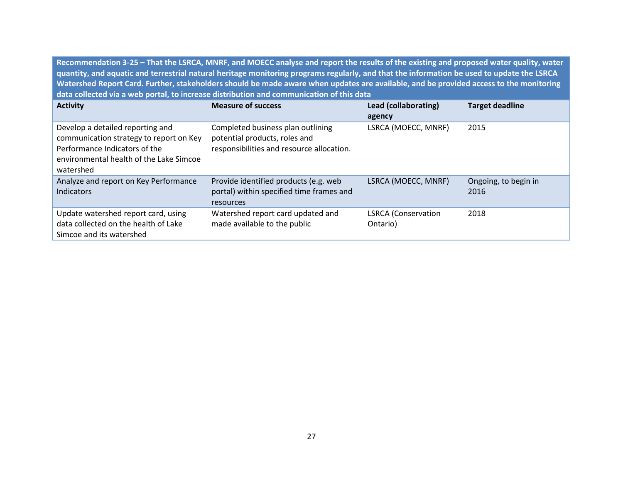**Recommendation 3-25 – That the LSRCA, MNRF, and MOECC analyse and report the results of the existing and proposed water quality, water quantity, and aquatic and terrestrial natural heritage monitoring programs regularly, and that the information be used to update the LSRCA Watershed Report Card. Further, stakeholders should be made aware when updates are available, and be provided access to the monitoring data collected via a web portal, to increase distribution and communication of this data**

| <b>Activity</b>                                                                                                                                                      | <b>Measure of success</b>                                                                                       | Lead (collaborating)<br>agency         | <b>Target deadline</b>       |
|----------------------------------------------------------------------------------------------------------------------------------------------------------------------|-----------------------------------------------------------------------------------------------------------------|----------------------------------------|------------------------------|
| Develop a detailed reporting and<br>communication strategy to report on Key<br>Performance Indicators of the<br>environmental health of the Lake Simcoe<br>watershed | Completed business plan outlining<br>potential products, roles and<br>responsibilities and resource allocation. | LSRCA (MOECC, MNRF)                    | 2015                         |
| Analyze and report on Key Performance<br>Indicators                                                                                                                  | Provide identified products (e.g. web<br>portal) within specified time frames and<br>resources                  | LSRCA (MOECC, MNRF)                    | Ongoing, to begin in<br>2016 |
| Update watershed report card, using<br>data collected on the health of Lake<br>Simcoe and its watershed                                                              | Watershed report card updated and<br>made available to the public                                               | <b>LSRCA</b> (Conservation<br>Ontario) | 2018                         |